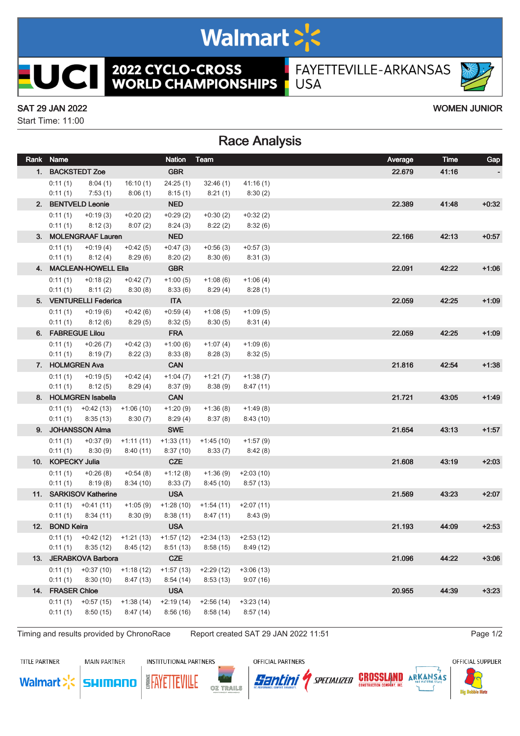## Walmart >'s

**2022 CYCLO-CROSS<br>WORLD CHAMPIONSHIPS** 

FAYETTEVILLE-ARKANSAS **USA** 

#### SAT 29 JAN 2022 WOMEN JUNIOR

**UCII** 

Start Time: 11:00

### Race Analysis

| Rank Name             |                                   |                                                  | <b>Nation</b>           | Team                                                             |                         | Average | Time    | Gap     |
|-----------------------|-----------------------------------|--------------------------------------------------|-------------------------|------------------------------------------------------------------|-------------------------|---------|---------|---------|
|                       | 1. BACKSTEDT Zoe                  |                                                  | <b>GBR</b>              |                                                                  |                         | 22.679  | 41:16   |         |
| 0:11(1)               | 8:04(1)                           | 16:10(1)                                         | 24:25(1)                | 32:46(1)                                                         | 41:16(1)                |         |         |         |
| 0:11(1)               | 7:53(1)                           | 8:06(1)                                          | 8:15(1)                 | 8:21(1)                                                          | 8:30(2)                 |         |         |         |
|                       | 2. BENTVELD Leonie                |                                                  | <b>NED</b>              |                                                                  |                         | 22.389  | 41:48   | $+0:32$ |
| 0:11(1)               | $+0:19(3)$                        | $+0:20(2)$                                       | $+0.29(2)$              | $+0:30(2)$                                                       | $+0:32(2)$              |         |         |         |
| 0:11(1)               | 8:12(3)                           | 8:07(2)                                          | 8:24(3)                 | 8:22(2)                                                          | 8:32(6)                 |         |         |         |
|                       | 3. MOLENGRAAF Lauren              |                                                  | <b>NED</b>              |                                                                  |                         | 22.166  | 42:13   | $+0:57$ |
| 0:11(1)               | $+0:19(4)$                        | $+0:42(5)$                                       | $+0:47(3)$              | $+0:56(3)$                                                       | $+0:57(3)$              |         |         |         |
| 0:11(1)               | 8:12(4)                           | 8:29(6)                                          | 8:20(2)                 | 8:30(6)                                                          | 8:31(3)                 |         |         |         |
|                       | 4. MACLEAN-HOWELL Ella            |                                                  | <b>GBR</b>              |                                                                  |                         | 22.091  | 42:22   | $+1:06$ |
| 0:11(1)               | $+0.18(2)$                        | $+0:42(7)$                                       | $+1:00(5)$              | $+1:08(6)$                                                       | $+1:06(4)$              |         |         |         |
| 0:11(1)               | 8:11(2)                           | 8:30(8)                                          | 8:33(6)                 | 8:29 (4)                                                         | 8:28(1)                 |         |         |         |
|                       | 5. VENTURELLI Federica            |                                                  | <b>ITA</b>              |                                                                  |                         | 22.059  | 42:25   | $+1:09$ |
| 0:11(1)               | $+0.19(6)$                        | $+0.42(6)$                                       | $+0.59(4)$              | $+1:08(5)$                                                       | $+1:09(5)$              |         |         |         |
| 0:11(1)               | 8:12 (6)                          | 8:29(5)                                          | 8:32(5)                 | 8:30(5)                                                          | 8:31(4)                 |         |         |         |
|                       | 6. FABREGUE Lilou                 |                                                  | <b>FRA</b>              |                                                                  |                         | 22.059  | 42:25   | $+1:09$ |
| 0:11(1)               | $+0:26(7)$                        | $+0.42(3)$                                       | $+1:00(6)$              | $+1:07(4)$                                                       | $+1:09(6)$              |         |         |         |
| 0:11(1)               | 8:19(7)                           | 8:22(3)                                          | 8:33(8)                 | 8:28 (3)                                                         | 8:32(5)                 |         |         |         |
| 7. HOLMGREN Ava       |                                   |                                                  | <b>CAN</b>              |                                                                  |                         | 21.816  | 42:54   | $+1:38$ |
| 0:11(1)               | $+0:19(5)$                        | $+0:42(4)$                                       | $+1:04(7)$              | $+1:21(7)$                                                       | $+1:38(7)$              |         |         |         |
| 0:11(1)               | 8:12(5)                           | 8:29(4)                                          | 8:37(9)                 | 8:38 (9)                                                         | 8:47(11)                |         |         |         |
|                       | 8. HOLMGREN Isabella              |                                                  | <b>CAN</b>              |                                                                  |                         | 21.721  | 43:05   | $+1:49$ |
|                       | $0:11(1)$ + 0:42 (13) + 1:06 (10) |                                                  | $+1:20(9)$              | $+1:36(8)$                                                       | $+1:49(8)$              |         |         |         |
| 0:11(1)               | 8:35(13)                          | 8:30(7)                                          | 8:29(4)                 | 8:37 (8)                                                         | 8:43(10)                | 21.654  |         |         |
|                       | 9. JOHANSSON Alma                 |                                                  | <b>SWE</b>              |                                                                  |                         |         | 43:13   | $+1:57$ |
| 0:11(1)<br>0:11(1)    | +0:37 (9)<br>8:30(9)              | $+1:11(11)$<br>8:40 (11)                         | $+1:33(11)$<br>8:37(10) | $+1:45(10)$<br>8:33 (7)                                          | $+1:57(9)$<br>8:42(8)   |         |         |         |
| 10. KOPECKY Julia     |                                   |                                                  | <b>CZE</b>              |                                                                  |                         | 21.608  | 43:19   | $+2:03$ |
| 0:11(1)               | $+0.26(8)$                        | $+0:54(8)$                                       | $+1:12(8)$              | $+1:36(9)$                                                       | $+2:03(10)$             |         |         |         |
| 0:11(1)               | 8:19(8)                           | 8:34(10)                                         | 8:33(7)                 | 8:45(10)                                                         | 8:57(13)                |         |         |         |
|                       | 11. SARKISOV Katherine            |                                                  | <b>USA</b>              |                                                                  |                         | 21.569  | 43:23   | $+2:07$ |
|                       | $0:11(1)$ + $0:41(11)$            | +1:05 (9)                                        | $+1:28(10)$             |                                                                  | $+1:54(11)$ $+2:07(11)$ |         |         |         |
| 0:11(1)               | 8:34(11)                          | 8:30(9)                                          | 8:38(11)                | 8:47 (11)                                                        | 8:43 (9)                |         |         |         |
| 12. BOND Keira        |                                   |                                                  | <b>USA</b>              |                                                                  |                         | 21.193  | 44:09   | $+2:53$ |
|                       |                                   | $0:11(1)$ + $0:42(12)$ + $1:21(13)$ + $1:57(12)$ |                         | $+2:34(13)$ $+2:53(12)$                                          |                         |         |         |         |
|                       |                                   |                                                  |                         | $0:11(1)$ $8:35(12)$ $8:45(12)$ $8:51(13)$ $8:58(15)$ $8:49(12)$ |                         |         |         |         |
| 13. JERABKOVA Barbora |                                   | <b>CZE</b>                                       |                         |                                                                  | 21.096                  | 44:22   | $+3:06$ |         |
|                       | $0:11(1)$ +0:37 (10)              | $+1:18(12)$                                      | $+1:57(13)$             | $+2:29(12)$                                                      | $+3:06(13)$             |         |         |         |
| 0:11(1)               | 8:30(10)                          | 8:47(13)                                         | 8:54(14)                | 8:53(13)                                                         | 9:07(16)                |         |         |         |
| 14. FRASER Chloe      |                                   |                                                  | <b>USA</b>              |                                                                  |                         | 20.955  | 44.39   | $+3:23$ |
| 0:11(1)               | $+0:57(15)$                       | $+1:38(14)$                                      | $+2:19(14)$             | $+2:56(14)$                                                      | $+3:23(14)$             |         |         |         |
| 0:11(1)               | 8:50(15)                          | 8:47(14)                                         | 8:56(16)                | 8:58(14)                                                         | 8:57(14)                |         |         |         |
|                       |                                   |                                                  |                         |                                                                  |                         |         |         |         |

Timing and results provided by ChronoRace Report created SAT 29 JAN 2022 11:51 Page 1/2

TITLE PARTNER

**MAIN PARTNER** 

**INSTITUTIONAL PARTNERS** 

OZ TRAILS

**EAYETTEVILLE** 

OFFICIAL PARTNERS